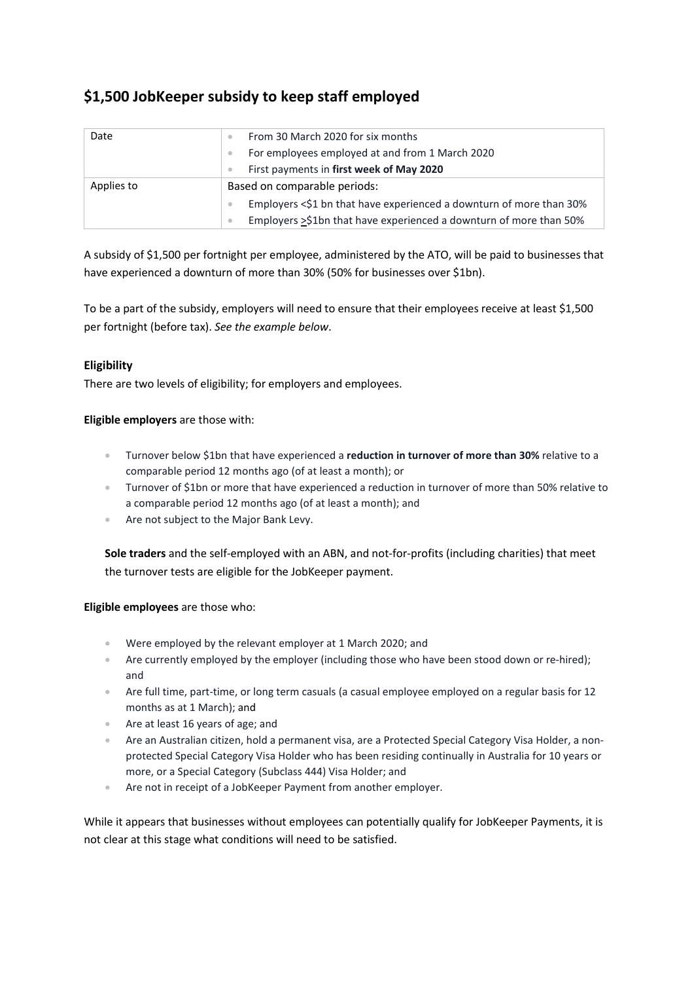# **\$1,500 JobKeeper subsidy to keep staff employed**

| Date       | From 30 March 2020 for six months                                   |  |
|------------|---------------------------------------------------------------------|--|
|            | For employees employed at and from 1 March 2020                     |  |
|            | First payments in first week of May 2020                            |  |
| Applies to | Based on comparable periods:                                        |  |
|            | Employers <\$1 bn that have experienced a downturn of more than 30% |  |
|            | Employers >\$1bn that have experienced a downturn of more than 50%  |  |

A subsidy of \$1,500 per fortnight per employee, administered by the ATO, will be paid to businesses that have experienced a downturn of more than 30% (50% for businesses over \$1bn).

To be a part of the subsidy, employers will need to ensure that their employees receive at least \$1,500 per fortnight (before tax). *See the example below*.

# **Eligibility**

There are two levels of eligibility; for employers and employees.

## **Eligible employers** are those with:

- Turnover below \$1bn that have experienced a **reduction in turnover of more than 30%** relative to a comparable period 12 months ago (of at least a month); or
- Turnover of \$1bn or more that have experienced a reduction in turnover of more than 50% relative to a comparable period 12 months ago (of at least a month); and
- Are not subject to the Major Bank Levy.

**Sole traders** and the self-employed with an ABN, and not-for-profits (including charities) that meet the turnover tests are eligible for the JobKeeper payment.

#### **Eligible employees** are those who:

- Were employed by the relevant employer at 1 March 2020; and
- Are currently employed by the employer (including those who have been stood down or re-hired); and
- Are full time, part-time, or long term casuals (a casual employee employed on a regular basis for 12 months as at 1 March); and
- Are at least 16 years of age; and
- Are an Australian citizen, hold a permanent visa, are a Protected Special Category Visa Holder, a nonprotected Special Category Visa Holder who has been residing continually in Australia for 10 years or more, or a Special Category (Subclass 444) Visa Holder; and
- Are not in receipt of a JobKeeper Payment from another employer.

While it appears that businesses without employees can potentially qualify for JobKeeper Payments, it is not clear at this stage what conditions will need to be satisfied.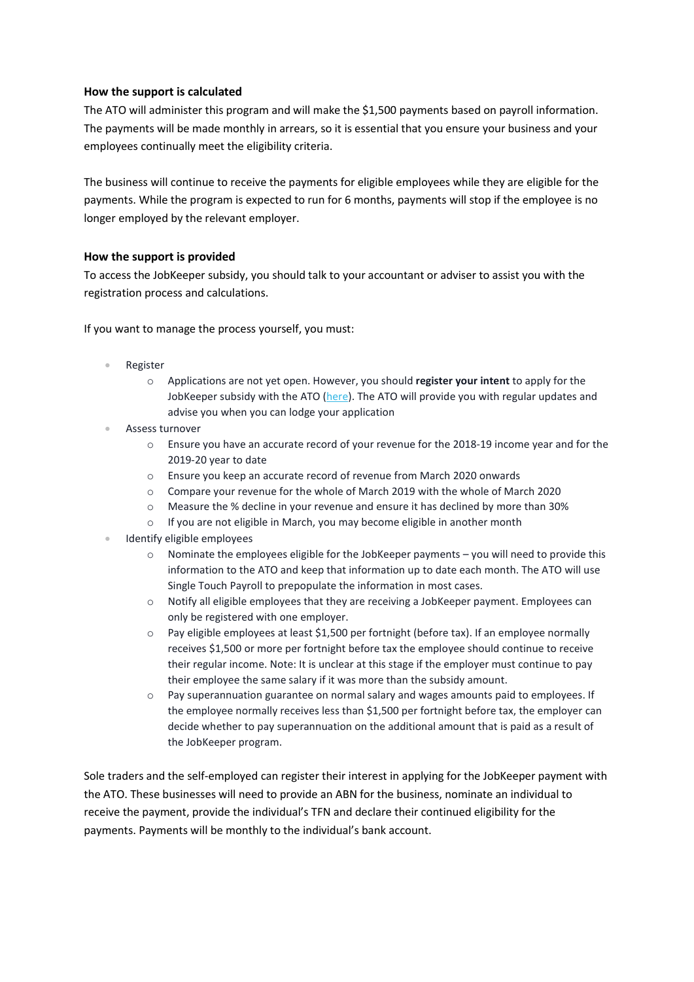#### **How the support is calculated**

The ATO will administer this program and will make the \$1,500 payments based on payroll information. The payments will be made monthly in arrears, so it is essential that you ensure your business and your employees continually meet the eligibility criteria.

The business will continue to receive the payments for eligible employees while they are eligible for the payments. While the program is expected to run for 6 months, payments will stop if the employee is no longer employed by the relevant employer.

## **How the support is provided**

To access the JobKeeper subsidy, you should talk to your accountant or adviser to assist you with the registration process and calculations.

If you want to manage the process yourself, you must:

- Register
	- o Applications are not yet open. However, you should **register your intent** to apply for the JobKeeper subsidy with the ATO (here). The ATO will provide you with regular updates and advise you when you can lodge your application
- Assess turnover
	- o Ensure you have an accurate record of your revenue for the 2018-19 income year and for the 2019-20 year to date
	- o Ensure you keep an accurate record of revenue from March 2020 onwards
	- o Compare your revenue for the whole of March 2019 with the whole of March 2020
	- o Measure the % decline in your revenue and ensure it has declined by more than 30%
	- o If you are not eligible in March, you may become eligible in another month
- **Identify eligible employees** 
	- Nominate the employees eligible for the JobKeeper payments you will need to provide this information to the ATO and keep that information up to date each month. The ATO will use Single Touch Payroll to prepopulate the information in most cases.
	- o Notify all eligible employees that they are receiving a JobKeeper payment. Employees can only be registered with one employer.
	- $\circ$  Pay eligible employees at least \$1,500 per fortnight (before tax). If an employee normally receives \$1,500 or more per fortnight before tax the employee should continue to receive their regular income. Note: It is unclear at this stage if the employer must continue to pay their employee the same salary if it was more than the subsidy amount.
	- o Pay superannuation guarantee on normal salary and wages amounts paid to employees. If the employee normally receives less than \$1,500 per fortnight before tax, the employer can decide whether to pay superannuation on the additional amount that is paid as a result of the JobKeeper program.

Sole traders and the self-employed can register their interest in applying for the JobKeeper payment with the ATO. These businesses will need to provide an ABN for the business, nominate an individual to receive the payment, provide the individual's TFN and declare their continued eligibility for the payments. Payments will be monthly to the individual's bank account.